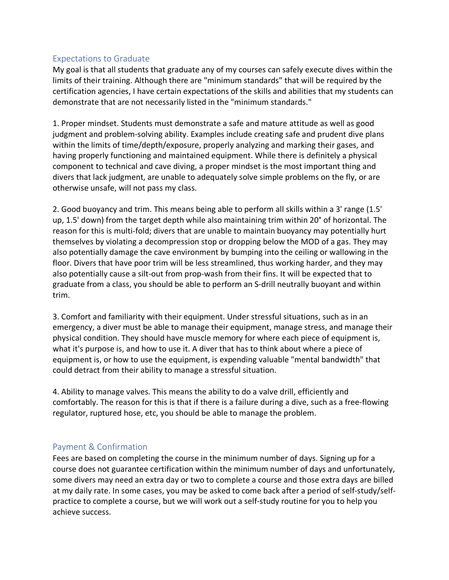## Expectations to Graduate

My goal is that all students that graduate any of my courses can safely execute dives within the limits of their training. Although there are "minimum standards" that will be required by the certification agencies, I have certain expectations of the skills and abilities that my students can demonstrate that are not necessarily listed in the "minimum standards."

1. Proper mindset. Students must demonstrate a safe and mature attitude as well as good judgment and problem-solving ability. Examples include creating safe and prudent dive plans within the limits of time/depth/exposure, properly analyzing and marking their gases, and having properly functioning and maintained equipment. While there is definitely a physical component to technical and cave diving, a proper mindset is the most important thing and divers that lack judgment, are unable to adequately solve simple problems on the fly, or are otherwise unsafe, will not pass my class.

2. Good buoyancy and trim. This means being able to perform all skills within a 3' range (1.5' up, 1.5' down) from the target depth while also maintaining trim within 20° of horizontal. The reason for this is multi-fold; divers that are unable to maintain buoyancy may potentially hurt themselves by violating a decompression stop or dropping below the MOD of a gas. They may also potentially damage the cave environment by bumping into the ceiling or wallowing in the floor. Divers that have poor trim will be less streamlined, thus working harder, and they may also potentially cause a silt-out from prop-wash from their fins. It will be expected that to graduate from a class, you should be able to perform an S-drill neutrally buoyant and within trim.

3. Comfort and familiarity with their equipment. Under stressful situations, such as in an emergency, a diver must be able to manage their equipment, manage stress, and manage their physical condition. They should have muscle memory for where each piece of equipment is, what it's purpose is, and how to use it. A diver that has to think about where a piece of equipment is, or how to use the equipment, is expending valuable "mental bandwidth" that could detract from their ability to manage a stressful situation.

4. Ability to manage valves. This means the ability to do a valve drill, efficiently and comfortably. The reason for this is that if there is a failure during a dive, such as a free-flowing regulator, ruptured hose, etc, you should be able to manage the problem.

## Payment & Confirmation

Fees are based on completing the course in the minimum number of days. Signing up for a course does not guarantee certification within the minimum number of days and unfortunately, some divers may need an extra day or two to complete a course and those extra days are billed at my daily rate. In some cases, you may be asked to come back after a period of self-study/selfpractice to complete a course, but we will work out a self-study routine for you to help you achieve success.